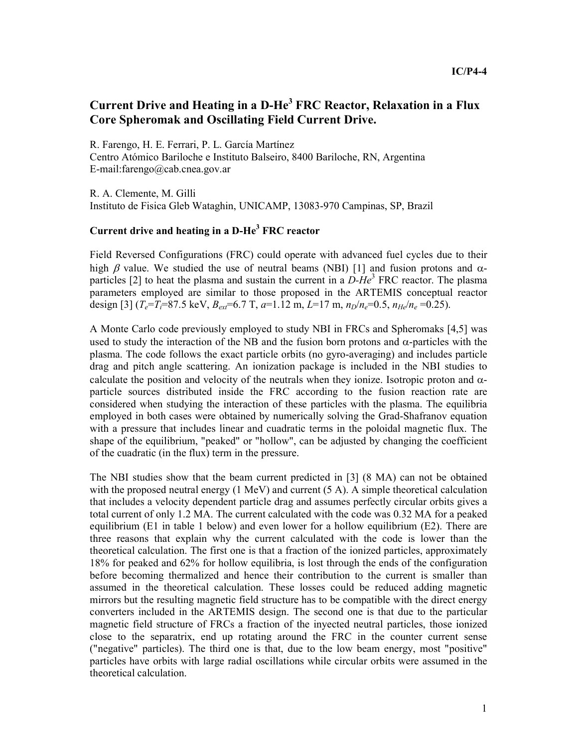## **Current Drive and Heating in a D-He<sup>3</sup> FRC Reactor, Relaxation in a Flux Core Spheromak and Oscillating Field Current Drive.**

R. Farengo, H. E. Ferrari, P. L. García Martínez Centro Atómico Bariloche e Instituto Balseiro, 8400 Bariloche, RN, Argentina E-mail:farengo@cab.cnea.gov.ar

R. A. Clemente, M. Gilli Instituto de Fisica Gleb Wataghin, UNICAMP, 13083-970 Campinas, SP, Brazil

## **Current drive and heating in a D-He<sup>3</sup> FRC reactor**

Field Reversed Configurations (FRC) could operate with advanced fuel cycles due to their high  $\beta$  value. We studied the use of neutral beams (NBI) [1] and fusion protons and  $\alpha$ particles [2] to heat the plasma and sustain the current in a  $D$ -He<sup>3</sup> FRC reactor. The plasma parameters employed are similar to those proposed in the ARTEMIS conceptual reactor design  $[3]$  ( $T_e = T_i = 87.5$  keV,  $B_{ext} = 6.7$  T,  $a=1.12$  m,  $L=17$  m,  $n_D/n_e = 0.5$ ,  $n_{He}/n_e = 0.25$ ).

A Monte Carlo code previously employed to study NBI in FRCs and Spheromaks [4,5] was used to study the interaction of the NB and the fusion born protons and  $\alpha$ -particles with the plasma. The code follows the exact particle orbits (no gyro-averaging) and includes particle drag and pitch angle scattering. An ionization package is included in the NBI studies to calculate the position and velocity of the neutrals when they ionize. Isotropic proton and  $\alpha$ particle sources distributed inside the FRC according to the fusion reaction rate are considered when studying the interaction of these particles with the plasma. The equilibria employed in both cases were obtained by numerically solving the Grad-Shafranov equation with a pressure that includes linear and cuadratic terms in the poloidal magnetic flux. The shape of the equilibrium, "peaked" or "hollow", can be adjusted by changing the coefficient of the cuadratic (in the flux) term in the pressure.

The NBI studies show that the beam current predicted in [3] (8 MA) can not be obtained with the proposed neutral energy  $(1 \text{ MeV})$  and current  $(5 \text{ A})$ . A simple theoretical calculation that includes a velocity dependent particle drag and assumes perfectly circular orbits gives a total current of only 1.2 MA. The current calculated with the code was 0.32 MA for a peaked equilibrium (E1 in table 1 below) and even lower for a hollow equilibrium (E2). There are three reasons that explain why the current calculated with the code is lower than the theoretical calculation. The first one is that a fraction of the ionized particles, approximately 18% for peaked and 62% for hollow equilibria, is lost through the ends of the configuration before becoming thermalized and hence their contribution to the current is smaller than assumed in the theoretical calculation. These losses could be reduced adding magnetic mirrors but the resulting magnetic field structure has to be compatible with the direct energy converters included in the ARTEMIS design. The second one is that due to the particular magnetic field structure of FRCs a fraction of the inyected neutral particles, those ionized close to the separatrix, end up rotating around the FRC in the counter current sense ("negative" particles). The third one is that, due to the low beam energy, most "positive" particles have orbits with large radial oscillations while circular orbits were assumed in the theoretical calculation.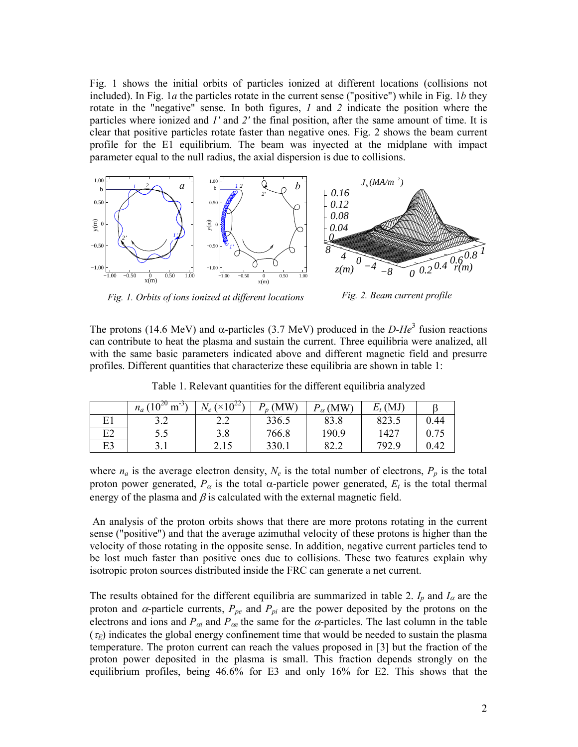Fig. 1 shows the initial orbits of particles ionized at different locations (collisions not included). In Fig. 1*a* the particles rotate in the current sense ("positive") while in Fig. 1*b* they rotate in the "negative" sense. In both figures, *1* and *2* indicate the position where the particles where ionized and *1'* and *2'* the final position, after the same amount of time. It is clear that positive particles rotate faster than negative ones. Fig. 2 shows the beam current profile for the E1 equilibrium. The beam was inyected at the midplane with impact parameter equal to the null radius, the axial dispersion is due to collisions.



*Fig. 1. Orbits of ions ionized at different locations Fig. 2. Beam current profile* 

The protons (14.6 MeV) and  $\alpha$ -particles (3.7 MeV) produced in the *D-He*<sup>3</sup> fusion reactions can contribute to heat the plasma and sustain the current. Three equilibria were analized, all with the same basic parameters indicated above and different magnetic field and presurre profiles. Different quantities that characterize these equilibria are shown in table 1:

|    | $_{\alpha}$ (10 <sup>20</sup> m <sup>-35</sup> )<br>$n_a$ ( | $N_e \left( \times 10^{22} \right)$ | $P_p$ (MW) | $P_{\alpha}$ (MW) | (MJ)<br>$E_t$ |      |
|----|-------------------------------------------------------------|-------------------------------------|------------|-------------------|---------------|------|
| E1 |                                                             | າ າ<br>4.L                          | 336.5      | 83.8              | 823.5         | 0.44 |
| E2 | 5.5                                                         | 3.8                                 | 766.8      | 190.9             | 1427          | 0.75 |
| E3 |                                                             | 2.15                                | 330.1      | 82.2              | 792.9         | 0.42 |

Table 1. Relevant quantities for the different equilibria analyzed

where  $n_a$  is the average electron density,  $N_e$  is the total number of electrons,  $P_p$  is the total proton power generated,  $P_\alpha$  is the total  $\alpha$ -particle power generated,  $E_t$  is the total thermal energy of the plasma and  $\beta$  is calculated with the external magnetic field.

 An analysis of the proton orbits shows that there are more protons rotating in the current sense ("positive") and that the average azimuthal velocity of these protons is higher than the velocity of those rotating in the opposite sense. In addition, negative current particles tend to be lost much faster than positive ones due to collisions. These two features explain why isotropic proton sources distributed inside the FRC can generate a net current.

The results obtained for the different equilibria are summarized in table 2.  $I_p$  and  $I_a$  are the proton and  $\alpha$ -particle currents,  $P_{pe}$  and  $P_{pi}$  are the power deposited by the protons on the electrons and ions and  $P_{\alpha i}$  and  $P_{\alpha e}$  the same for the  $\alpha$ -particles. The last column in the table  $(\tau_F)$  indicates the global energy confinement time that would be needed to sustain the plasma temperature. The proton current can reach the values proposed in [3] but the fraction of the proton power deposited in the plasma is small. This fraction depends strongly on the equilibrium profiles, being 46.6% for E3 and only 16% for E2. This shows that the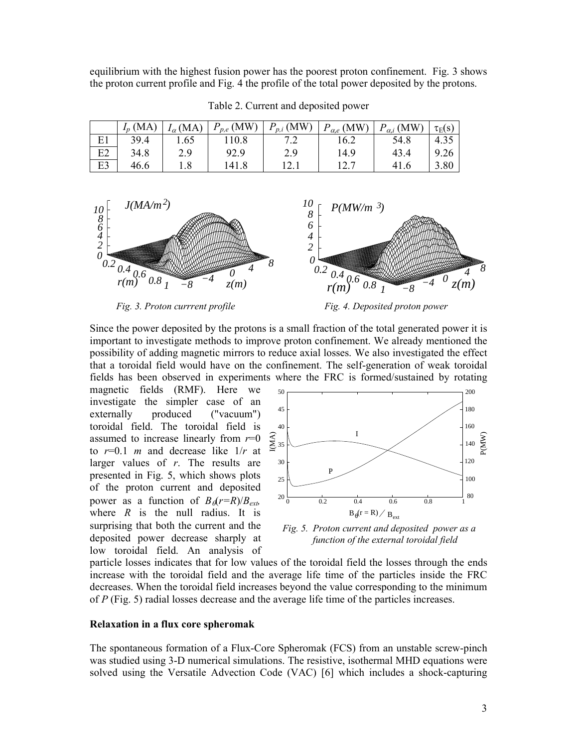equilibrium with the highest fusion power has the poorest proton confinement. Fig. 3 shows the proton current profile and Fig. 4 the profile of the total power deposited by the protons.

|    | $I_n(MA)$ | $I_{\alpha}(\text{MA})$ | $P_{p,e}$ (MW) | $\mathbb{P}_{p,i}(\text{MW})$ | $P_{\alpha,e}$ (MW) | $P_{\alpha,i}$ (MW) | $\tau_E(s)$ |
|----|-----------|-------------------------|----------------|-------------------------------|---------------------|---------------------|-------------|
| E1 | 39.4      | 1.65                    | 110.8          |                               | 16.2                | 54.8                | 4.35        |
| E2 | 34.8      | 2.9                     | 92.9           | 2.9                           | 14.9                | 43.4                | 9.26        |
| E3 | 46.6      | 1.8                     | 141.8          | 12.1                          |                     | 41.6                | 3.80        |

Table 2. Current and deposited power



*Fig. 3. Proton currrent profile* Fig. 4. Deposited proton power

Since the power deposited by the protons is a small fraction of the total generated power it is important to investigate methods to improve proton confinement. We already mentioned the possibility of adding magnetic mirrors to reduce axial losses. We also investigated the effect that a toroidal field would have on the confinement. The self-generation of weak toroidal fields has been observed in experiments where the FRC is formed/sustained by rotating

magnetic fields (RMF). Here we investigate the simpler case of an externally produced ("vacuum") toroidal field. The toroidal field is assumed to increase linearly from  $r=0$ to  $r=0.1$  *m* and decrease like  $1/r$  at larger values of *r*. The results are presented in Fig. 5, which shows plots of the proton current and deposited power as a function of  $B_{\phi}(r=R)/B_{ext}$ *,* where  $R$  is the null radius. It is surprising that both the current and the deposited power decrease sharply at low toroidal field. An analysis of



 *Fig. 5. Proton current and deposited power as a function of the external toroidal field* 

particle losses indicates that for low values of the toroidal field the losses through the ends increase with the toroidal field and the average life time of the particles inside the FRC decreases. When the toroidal field increases beyond the value corresponding to the minimum of *P* (Fig. 5) radial losses decrease and the average life time of the particles increases.

## **Relaxation in a flux core spheromak**

The spontaneous formation of a Flux-Core Spheromak (FCS) from an unstable screw-pinch was studied using 3-D numerical simulations. The resistive, isothermal MHD equations were solved using the Versatile Advection Code (VAC) [6] which includes a shock-capturing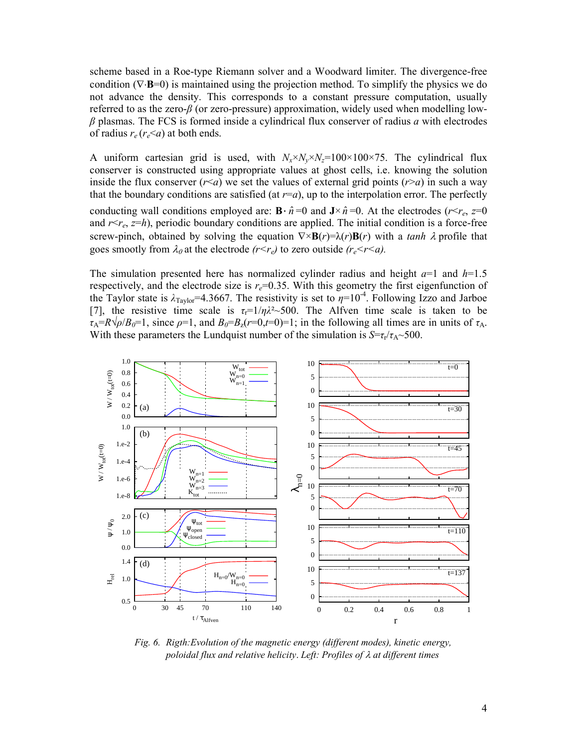scheme based in a Roe-type Riemann solver and a Woodward limiter. The divergence-free condition (∇⋅**B**=0) is maintained using the projection method. To simplify the physics we do not advance the density. This corresponds to a constant pressure computation, usually referred to as the zero-*β* (or zero-pressure) approximation, widely used when modelling low*β* plasmas. The FCS is formed inside a cylindrical flux conserver of radius *a* with electrodes of radius  $r_e$  ( $r_e$ <*a*) at both ends.

A uniform cartesian grid is used, with  $N_x \times N_y \times N_z = 100 \times 100 \times 75$ . The cylindrical flux conserver is constructed using appropriate values at ghost cells, i.e. knowing the solution inside the flux conserver  $(r \le a)$  we set the values of external grid points  $(r \ge a)$  in such a way that the boundary conditions are satisfied (at  $r=a$ ), up to the interpolation error. The perfectly conducting wall conditions employed are:  $\mathbf{B} \cdot \hat{n} = 0$  and  $\mathbf{J} \times \hat{n} = 0$ . At the electrodes ( $r \leq r_e$ ,  $z=0$ ) and  $r \leq r_e$ ,  $z=h$ ), periodic boundary conditions are applied. The initial condition is a force-free screw-pinch, obtained by solving the equation  $\nabla \times \mathbf{B}(r) = \lambda(r)\mathbf{B}(r)$  with a *tanh*  $\lambda$  profile that goes smootly from  $\lambda_0$  at the electrode  $(r \leq r_e)$  to zero outside  $(r_e \leq r \leq a)$ .

The simulation presented here has normalized cylinder radius and height *a*=1 and *h*=1.5 respectively, and the electrode size is  $r_e$ =0.35. With this geometry the first eigenfunction of the Taylor state is  $\lambda_{Taylor}$ =4.3667. The resistivity is set to  $\eta$ =10<sup>-4</sup>. Following Izzo and Jarboe [7], the resistive time scale is  $\tau_r = 1/\eta \lambda^2 \sim 500$ . The Alfven time scale is taken to be  $\tau_A = R\sqrt{\rho/B_0} = 1$ , since  $\rho = 1$ , and  $B_0 = B_z(r=0,t=0) = 1$ ; in the following all times are in units of  $\tau_A$ . With these parameters the Lundquist number of the simulation is  $S = \tau_r / \tau_A \sim 500$ .



*Fig. 6. Rigth:Evolution of the magnetic energy (different modes), kinetic energy, poloidal flux and relative helicity*. *Left<: Profiles of* λ *at different times*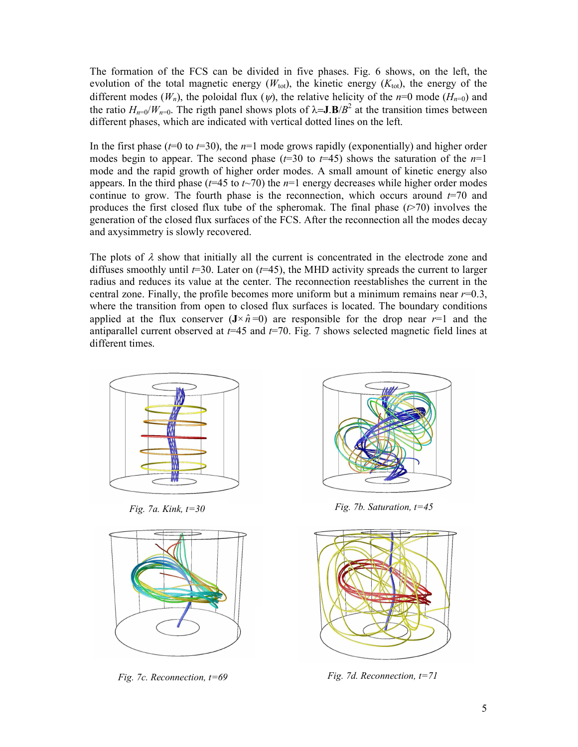The formation of the FCS can be divided in five phases. Fig. 6 shows, on the left, the evolution of the total magnetic energy  $(W_{\text{tot}})$ , the kinetic energy  $(K_{\text{tot}})$ , the energy of the different modes  $(W_n)$ , the poloidal flux  $(\psi)$ , the relative helicity of the *n*=0 mode  $(H_{n=0})$  and the ratio  $H_{n=0}/W_{n=0}$ . The rigth panel shows plots of  $\lambda = J.B/B^2$  at the transition times between different phases, which are indicated with vertical dotted lines on the left.

In the first phase ( $t=0$  to  $t=30$ ), the  $n=1$  mode grows rapidly (exponentially) and higher order modes begin to appear. The second phase  $(t=30 \text{ to } t=45)$  shows the saturation of the  $n=1$ mode and the rapid growth of higher order modes. A small amount of kinetic energy also appears. In the third phase ( $t=45$  to  $t\sim$ 70) the  $n=1$  energy decreases while higher order modes continue to grow. The fourth phase is the reconnection, which occurs around  $t=70$  and produces the first closed flux tube of the spheromak. The final phase  $(r>70)$  involves the generation of the closed flux surfaces of the FCS. After the reconnection all the modes decay and axysimmetry is slowly recovered.

The plots of  $\lambda$  show that initially all the current is concentrated in the electrode zone and diffuses smoothly until *t*=30. Later on (*t*=45), the MHD activity spreads the current to larger radius and reduces its value at the center. The reconnection reestablishes the current in the central zone. Finally, the profile becomes more uniform but a minimum remains near  $r=0.3$ , where the transition from open to closed flux surfaces is located. The boundary conditions applied at the flux conserver  $(J \times \hat{n}=0)$  are responsible for the drop near  $r=1$  and the antiparallel current observed at *t*=45 and *t*=70. Fig. 7 shows selected magnetic field lines at different times.







*Fig. 7a. Kink, t=30 Fig. 7b. Saturation, t=45* 



*Fig. 7c. Reconnection, t=69 Fig. 7d. Reconnection, t=71*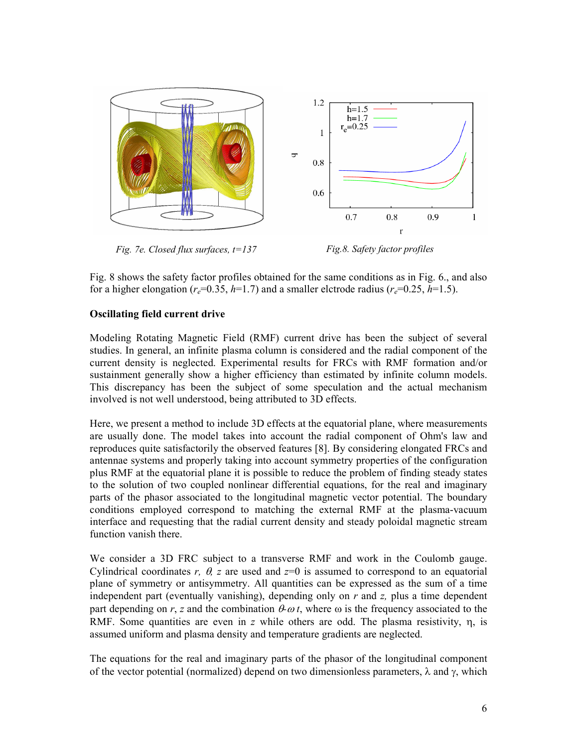

Fig. 8 shows the safety factor profiles obtained for the same conditions as in Fig. 6., and also for a higher elongation ( $r_e$ =0.35,  $h$ =1.7) and a smaller elctrode radius ( $r_e$ =0.25,  $h$ =1.5).

## **Oscillating field current drive**

Modeling Rotating Magnetic Field (RMF) current drive has been the subject of several studies. In general, an infinite plasma column is considered and the radial component of the current density is neglected. Experimental results for FRCs with RMF formation and/or sustainment generally show a higher efficiency than estimated by infinite column models. This discrepancy has been the subject of some speculation and the actual mechanism involved is not well understood, being attributed to 3D effects.

Here, we present a method to include 3D effects at the equatorial plane, where measurements are usually done. The model takes into account the radial component of Ohm's law and reproduces quite satisfactorily the observed features [8]. By considering elongated FRCs and antennae systems and properly taking into account symmetry properties of the configuration plus RMF at the equatorial plane it is possible to reduce the problem of finding steady states to the solution of two coupled nonlinear differential equations, for the real and imaginary parts of the phasor associated to the longitudinal magnetic vector potential. The boundary conditions employed correspond to matching the external RMF at the plasma-vacuum interface and requesting that the radial current density and steady poloidal magnetic stream function vanish there.

We consider a 3D FRC subject to a transverse RMF and work in the Coulomb gauge. Cylindrical coordinates *r,*  $\theta$ *, z* are used and  $z=0$  is assumed to correspond to an equatorial plane of symmetry or antisymmetry. All quantities can be expressed as the sum of a time independent part (eventually vanishing), depending only on *r* and *z,* plus a time dependent part depending on *r*, *z* and the combination  $\theta \omega t$ , where  $\omega$  is the frequency associated to the RMF. Some quantities are even in *z* while others are odd. The plasma resistivity, η, is assumed uniform and plasma density and temperature gradients are neglected.

The equations for the real and imaginary parts of the phasor of the longitudinal component of the vector potential (normalized) depend on two dimensionless parameters, λ and γ, which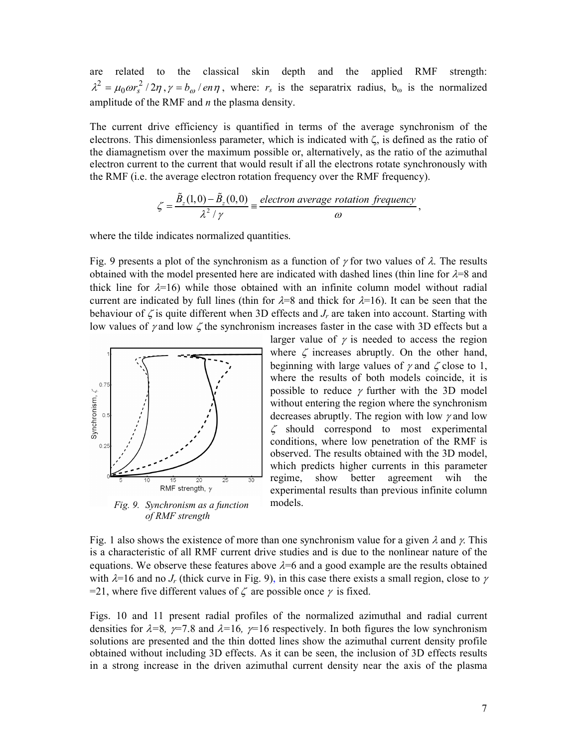are related to the classical skin depth and the applied RMF strength:  $\lambda^2 = \mu_0 \omega r_s^2 / 2\eta$ ,  $\gamma = b_\omega / e n \eta$ , where:  $r_s$  is the separatrix radius,  $b_\omega$  is the normalized amplitude of the RMF and *n* the plasma density.

The current drive efficiency is quantified in terms of the average synchronism of the electrons. This dimensionless parameter, which is indicated with ζ, is defined as the ratio of the diamagnetism over the maximum possible or, alternatively, as the ratio of the azimuthal electron current to the current that would result if all the electrons rotate synchronously with the RMF (i.e. the average electron rotation frequency over the RMF frequency).

$$
\zeta = \frac{\tilde{B}_z(1,0) - \tilde{B}_z(0,0)}{\lambda^2 / \gamma} = \frac{electron \ average \ rotation \ frequency}{\omega},
$$

where the tilde indicates normalized quantities.

Fig. 9 presents a plot of the synchronism as a function of  $\gamma$  for two values of  $\lambda$ . The results obtained with the model presented here are indicated with dashed lines (thin line for  $\lambda=8$  and thick line for  $\lambda=16$ ) while those obtained with an infinite column model without radial current are indicated by full lines (thin for  $\lambda=8$  and thick for  $\lambda=16$ ). It can be seen that the behaviour of  $\zeta$  is quite different when 3D effects and  $J_r$  are taken into account. Starting with low values of  $\gamma$  and low  $\zeta$  the synchronism increases faster in the case with 3D effects but a



*Fig. 9. Synchronism as a function of RMF strength* 

larger value of  $\gamma$  is needed to access the region where  $\zeta$  increases abruptly. On the other hand, beginning with large values of  $\gamma$  and  $\zeta$  close to 1, where the results of both models coincide, it is possible to reduce  $\gamma$  further with the 3D model without entering the region where the synchronism decreases abruptly. The region with low  $\gamma$  and low  $\zeta$  should correspond to most experimental conditions, where low penetration of the RMF is observed. The results obtained with the 3D model, which predicts higher currents in this parameter regime, show better agreement wih the experimental results than previous infinite column models.

Fig. 1 also shows the existence of more than one synchronism value for a given  $\lambda$  and  $\gamma$ . This is a characteristic of all RMF current drive studies and is due to the nonlinear nature of the equations. We observe these features above  $\lambda=6$  and a good example are the results obtained with  $\lambda=16$  and no  $J_r$  (thick curve in Fig. 9), in this case there exists a small region, close to  $\gamma$ =21, where five different values of  $\zeta$  are possible once  $\gamma$  is fixed.

Figs. 10 and 11 present radial profiles of the normalized azimuthal and radial current densities for  $\lambda = 8$ ,  $\gamma = 7.8$  and  $\lambda = 16$ ,  $\gamma = 16$  respectively. In both figures the low synchronism solutions are presented and the thin dotted lines show the azimuthal current density profile obtained without including 3D effects. As it can be seen, the inclusion of 3D effects results in a strong increase in the driven azimuthal current density near the axis of the plasma